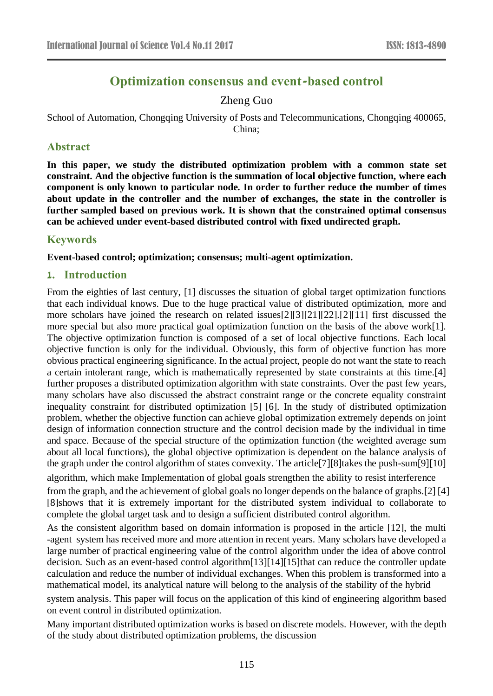# **Optimization consensus and event-based control**

# Zheng Guo

School of Automation, Chongqing University of Posts and Telecommunications, Chongqing 400065, China;

### **Abstract**

**In this paper, we study the distributed optimization problem with a common state set constraint. And the objective function is the summation of local objective function, where each component is only known to particular node. In order to further reduce the number of times about update in the controller and the number of exchanges, the state in the controller is further sampled based on previous work. It is shown that the constrained optimal consensus can be achieved under event-based distributed control with fixed undirected graph.**

### **Keywords**

**Event-based control; optimization; consensus; multi-agent optimization.**

### **1. Introduction**

From the eighties of last century, [1] discusses the situation of global target optimization functions that each individual knows. Due to the huge practical value of distributed optimization, more and more scholars have joined the research on related issues[2][3][21][22].[2][11] first discussed the more special but also more practical goal optimization function on the basis of the above work[1]. The objective optimization function is composed of a set of local objective functions. Each local objective function is only for the individual. Obviously, this form of objective function has more obvious practical engineering significance. In the actual project, people do not want the state to reach a certain intolerant range, which is mathematically represented by state constraints at this time.[4] further proposes a distributed optimization algorithm with state constraints. Over the past few years, many scholars have also discussed the abstract constraint range or the concrete equality constraint inequality constraint for distributed optimization [5] [6]. In the study of distributed optimization problem, whether the objective function can achieve global optimization extremely depends on joint design of information connection structure and the control decision made by the individual in time and space. Because of the special structure of the optimization function (the weighted average sum about all local functions), the global objective optimization is dependent on the balance analysis of the graph under the control algorithm of states convexity. The article[7][8]takes the push-sum[9][10]

algorithm, which make Implementation of global goals strengthen the ability to resist interference

from the graph, and the achievement of global goals no longer depends on the balance of graphs.[2] [4] [8]shows that it is extremely important for the distributed system individual to collaborate to complete the global target task and to design a sufficient distributed control algorithm.

As the consistent algorithm based on domain information is proposed in the article [12], the multi -agent system has received more and more attention in recent years. Many scholars have developed a large number of practical engineering value of the control algorithm under the idea of above control decision. Such as an event-based control algorithm[13][14][15]that can reduce the controller update calculation and reduce the number of individual exchanges. When this problem is transformed into a mathematical model, its analytical nature will belong to the analysis of the stability of the hybrid

system analysis. This paper will focus on the application of this kind of engineering algorithm based on event control in distributed optimization.

Many important distributed optimization works is based on discrete models. However, with the depth of the study about distributed optimization problems, the discussion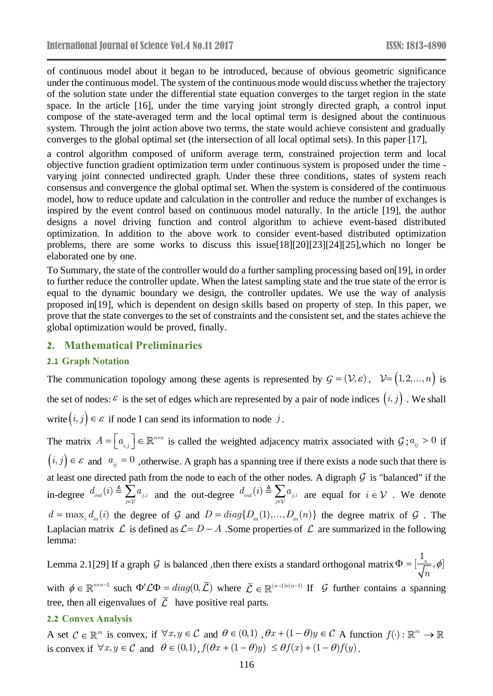of continuous model about it began to be introduced, because of obvious geometric significance under the continuous model. The system of the continuous mode would discuss whether the trajectory of the solution state under the differential state equation converges to the target region in the state space. In the article [16], under the time varying joint strongly directed graph, a control input compose of the state-averaged term and the local optimal term is designed about the continuous system. Through the joint action above two terms, the state would achieve consistent and gradually converges to the global optimal set (the intersection of all local optimal sets). In this paper [17],

a control algorithm composed of uniform average term, constrained projection term and local objective function gradient optimization term under continuous system is proposed under the time varying joint connected undirected graph. Under these three conditions, states of system reach consensus and convergence the global optimal set. When the system is considered of the continuous model, how to reduce update and calculation in the controller and reduce the number of exchanges is inspired by the event control based on continuous model naturally. In the article [19], the author designs a novel driving function and control algorithm to achieve event-based distributed optimization. In addition to the above work to consider event-based distributed optimization problems, there are some works to discuss this issue[18][20][23][24][25],which no longer be elaborated one by one.

To Summary, the state of the controller would do a further sampling processing based on[19], in order to further reduce the controller update. When the latest sampling state and the true state of the error is equal to the dynamic boundary we design, the controller updates. We use the way of analysis proposed in[19], which is dependent on design skills based on property of step. In this paper, we prove that the state converges to the set of constraints and the consistent set, and the states achieve the global optimization would be proved, finally.

#### **2. Mathematical Preliminaries**

#### **2.1 Graph Notation**

The communication topology among these agents is represented by  $G = (\mathcal{V}, \varepsilon)$ ,  $\mathcal{V} = (1, 2, ..., n)$  is the set of nodes:  $\varepsilon$  is the set of edges which are represented by a pair of node indices  $(i, j)$ . We shall write  $(i, j) \in \mathcal{E}$  if node I can send its information to node  $j$ .

The matrix  $A = \begin{bmatrix} a_{i,j} \end{bmatrix} \in \mathbb{R}^{n \times n}$  $\left[a_{i,j}\right] \in \mathbb{R}^{n \times n}$  is called the weighted adjacency matrix associated with  $\mathcal{G}$ ;  $a_{ij} > 0$  if  $(i, j) \in \mathcal{E}$  and  $a_{ij} = 0$ , otherwise. A graph has a spanning tree if there exists a node such that there is at least one directed path from the node to each of the other nodes. A digraph  $G$  is "balanced" if the in-degree  $d_{out}(i) \triangleq \sum_{j \in \mathcal{V}} a_{j,i}$  $d \ (i) \triangleq \sum a$  $\sum_{j \in \mathcal{V}} a_{j,i}$  and the out-degree  $d_{out}(i) \triangleq \sum_{j \in \mathcal{V}} a_{j,i}$  $d \left( i \right) \triangleq \sum a$  $\sum_{i \in \mathcal{V}} a_{j,i}$  are equal for  $i \in \mathcal{V}$  . We denote  $d = \max_i d_{in}(i)$  the degree of G and  $D = diag\{D_{in}(1),...,D_{in}(n)\}\$  the degree matrix of G. Laplacian matrix  $\mathcal L$  is defined as  $\mathcal L = D - A$  . Some properties of  $\mathcal L$  are summarized in the following lemma:

Lemma 2.1[29] If a graph  $G$  is balanced , then there exists a standard orthogonal matrix  $\Phi = [\frac{1}{\sqrt{n}}, \phi]$ *n* with  $\phi \in \mathbb{R}^{n \times n-1}$  such  $\Phi' \mathcal{L} \Phi = diag(0, \overline{\mathcal{L}})$  where  $\overline{\mathcal{L}} \in \mathbb{R}^{(n-1) \times (n-1)}$  If  $\mathcal G$  further contains a spanning

tree, then all eigenvalues of  $\overline{L}$  have positive real parts.

#### **2.2 Convex Analysis**

A set  $C \in \mathbb{R}^m$  is convex, if  $\forall x, y \in C$  and  $\theta \in (0,1)$ ,  $\theta x + (1-\theta)y \in C$  A function  $f(\cdot): \mathbb{R}^m \to$ is convex if  $\forall x, y \in C$  and  $\theta \in (0,1)$ ,  $f(\theta x + (1-\theta)y) \leq \theta f(x) + (1-\theta)f(y)$ .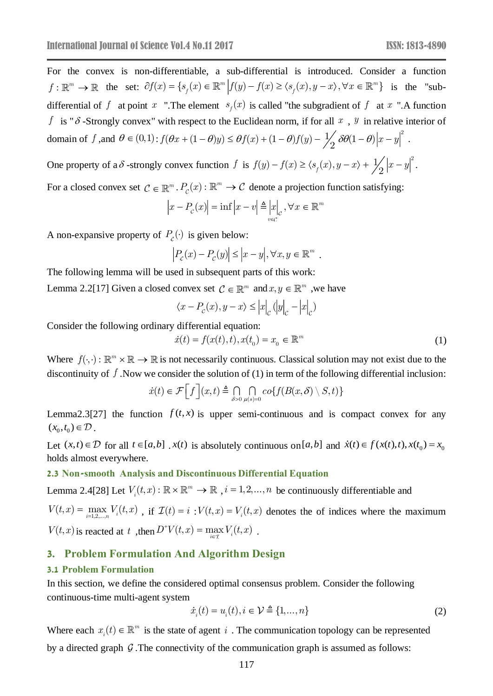For the convex is non-differentiable, a sub-differential is introduced. Consider a function  $f: \mathbb{R}^m \to \mathbb{R}$  the set:  $\partial f(x) = \{s_f(x) \in \mathbb{R}^m \mid f(y) - f(x) \ge \langle s_f(x), y - x \rangle, \forall x \in \mathbb{R}^m \}$  is the "subdifferential of f at point x ".The element  $s_f(x)$  is called "the subgradient of f at x ".A function *f* is " $\delta$ -Strongly convex" with respect to the Euclidean norm, if for all  $x$ ,  $y$  in relative interior of domain of f, and  $\theta \in (0,1)$ :  $f(\theta x + (1-\theta)y) \leq \theta f(x) + (1-\theta)f(y) - \frac{1}{2}\theta \theta (1-\theta)|x-y|^2$ .

One property of a  $\delta$ -strongly convex function f is  $f(y) - f(x) \ge \langle s_f(x), y - x \rangle + \frac{1}{2} |x - y|^2$ .

For a closed convex set  $C \in \mathbb{R}^m$ .  $P_c(x) : \mathbb{R}^m \to C$  denote a projection function satisfying:

$$
\left|x - P_c(x)\right| = \inf\left|x - v\right| \triangleq \left|x\right|_c, \forall x \in \mathbb{R}^m
$$

A non-expansive property of  $P_c(\cdot)$  is given below:

$$
\left|P_c(x) - P_c(y)\right| \le |x - y|, \forall x, y \in \mathbb{R}^m.
$$

The following lemma will be used in subsequent parts of this work:

Lemma 2.2[17] Given a closed convex set  $C \in \mathbb{R}^m$  and  $x, y \in \mathbb{R}^m$ , we have

$$
\langle x - P_c(x), y - x \rangle \leq |x|_{c} (|y|_{c} - |x|_{c})
$$

Consider the following ordinary differential equation:

$$
\dot{x}(t) = f(x(t), t), x(t_0) = x_0 \in \mathbb{R}^m
$$
\n(1)

Where  $f(\cdot, \cdot): \mathbb{R}^m \times \mathbb{R} \to \mathbb{R}$  is not necessarily continuous. Classical solution may not exist due to the discontinuity of *f* .Now we consider the solution of (1) in term of the following differential inclusion:

$$
\dot{x}(t) \in \mathcal{F}\Big[f\Big](x,t) \triangleq \bigcap_{\delta>0} \bigcap_{\mu(s)=0} co\{f(B(x,\delta) \setminus S,t)\}\
$$

Lemma2.3[27] the function  $f(t, x)$  is upper semi-continuous and is compact convex for any  $(x_0, t_0) \in \mathcal{D}$ .

Let  $(x,t) \in \mathcal{D}$  for all  $t \in [a,b]$ .  $x(t)$  is absolutely continuous on [a,b] and  $\dot{x}(t) \in f(x(t),t)$ ,  $x(t_0) = x_0$ holds almost everywhere.

#### **2.3 Non-smooth Analysis and Discontinuous Differential Equation**

Lemma 2.4[28] Let  $V_i(t,x): \mathbb{R} \times \mathbb{R}^m \to \mathbb{R}$ ,  $i = 1,2,...,n$  be continuously differentiable and

 $V(t, x) = \max_{i=1,2,...,n} V_i(t, x)$  $=\max_{i=1,2,...,n} V_i(t,x)$ , if  $\mathcal{I}(t) = i : V(t,x) = V_i(t,x)$  denotes the of indices where the maximum  $V(t, x)$  is reacted at t, then  $D^+V(t, x) = \max_{i \in \mathcal{I}} V_i(t, x)$  $=\max_{i\in\mathcal{I}}V_i(t,x)$ .

### **3. Problem Formulation And Algorithm Design**

#### **3.1 Problem Formulation**

In this section, we define the considered optimal consensus problem. Consider the following continuous-time multi-agent system

$$
\dot{x}_i(t) = u_i(t), i \in \mathcal{V} \triangleq \{1, ..., n\}
$$
\n(2)

Where each  $x_i(t) \in \mathbb{R}^m$  is the state of agent i. The communication topology can be represented by a directed graph  $G$ . The connectivity of the communication graph is assumed as follows: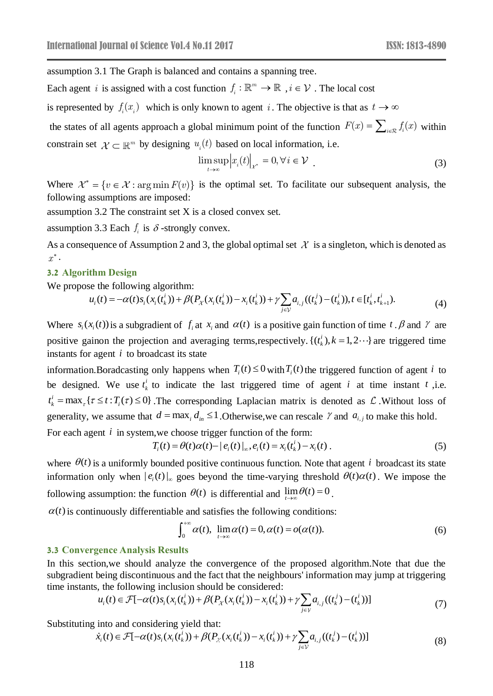assumption 3.1 The Graph is balanced and contains a spanning tree.

Each agent *i* is assigned with a cost function  $f_i : \mathbb{R}^m$  $f_i: \mathbb{R}^m \to \mathbb{R}$ ,  $i \in \mathcal{V}$  . The local cost

is represented by  $f_i(x_i)$  which is only known to agent i. The objective is that as  $t \to \infty$ 

the states of all agents approach a global minimum point of the function  $F(x) = \sum_{i \in \mathcal{R}} f_i(x)$  within constrain set  $\mathcal{X} \subset \mathbb{R}^m$  by designing  $u_i(t)$  based on local information, i.e.

$$
\limsup_{t \to \infty} \left| x_i(t) \right|_{\mathcal{X}^*} = 0, \forall i \in \mathcal{V} \tag{3}
$$

Where  $\mathcal{X}^* = \{v \in \mathcal{X} : \arg\min F(v)\}\$ is the optimal set. To facilitate our subsequent analysis, the following assumptions are imposed:

assumption 3.2 The constraint set X is a closed convex set.

assumption 3.3 Each  $f_i$  is  $\delta$  -strongly convex.

As a consequence of Assumption 2 and 3, the global optimal set  $\mathcal X$  is a singleton, which is denoted as  $x^*$ .

#### **3.2 Algorithm Design**

We propose the following algorithm:

$$
u_i(t) = -\alpha(t)s_i(x_i(t_k^i)) + \beta(P_{\chi}(x_i(t_k^i)) - x_i(t_k^i)) + \gamma \sum_{j \in \mathcal{V}} a_{i,j}((t_k^j) - (t_k^i)), t \in [t_k^i, t_{k+1}^i).
$$
\n(4)

Where  $s_i(x_i(t))$  is a subgradient of  $f_i$  at  $x_i$  and  $\alpha(t)$  is a positive gain function of time  $t \cdot \beta$  and  $\gamma$  are positive gainon the projection and averaging terms, respectively.  $\{(t_k^i), k = 1, 2 \cdots\}$  $t_k^i$ ,  $k = 1, 2 \cdots$ } are triggered time instants for agent *i* to broadcast its state

information. Boradcasting only happens when  $T_i(t) \leq 0$  with  $T_i(t)$  the triggered function of agent *i* to be designed. We use  $t_k^i$  $t<sub>k</sub><sup>t</sup>$  to indicate the last triggered time of agent *i* at time instant *t*, i.e.  $t_k^i = \max_{\tau} \{ \tau \le t : T_i(\tau) \le 0 \}$ . The corresponding Laplacian matrix is denoted as  $\mathcal L$ . Without loss of generality, we assume that  $d = \max_i d_{in} \leq 1$ . Otherwise, we can rescale  $\gamma$  and  $a_{i,j}$  to make this hold.

For each agent *i* in system, we choose trigger function of the form:

$$
T_i(t) = \theta(t)\alpha(t) - |e_i(t)|_{\infty}, e_i(t) = x_i(t_k) - x_i(t).
$$
\n(5)

where  $\theta(t)$  is a uniformly bounded positive continuous function. Note that agent *i* broadcast its state information only when  $|e_i(t)|_{\infty}$  goes beyond the time-varying threshold  $\theta(t)\alpha(t)$ . We impose the following assumption: the function  $\theta(t)$  is differential and  $\lim_{t\to\infty} \theta(t) = 0$ .

 $\alpha(t)$  is continuously differentiable and satisfies the following conditions:

$$
\int_0^{+\infty} \alpha(t), \ \lim_{t \to \infty} \alpha(t) = 0, \alpha(t) = o(\alpha(t)). \tag{6}
$$

### **3.3 Convergence Analysis Results**

In this section,we should analyze the convergence of the proposed algorithm.Note that due the subgradient being discontinuous and the fact that the neighbours' information may jump at triggering time instants, the following inclusion should be considered:

$$
u_i(t) \in \mathcal{F}[-\alpha(t)s_i(x_i(t_k^i)) + \beta(P_{\chi}(x_i(t_k^i)) - x_i(t_k^i)) + \gamma \sum_{j \in \mathcal{V}} a_{i,j}((t_k^j) - (t_k^i))]
$$
(7)

Substituting into and considering yield that:

$$
\dot{x}_i(t) \in \mathcal{F}[-\alpha(t)s_i(x_i(t_k^i)) + \beta(P_{\chi}(x_i(t_k^i)) - x_i(t_k^i)) + \gamma \sum_{j \in \mathcal{V}} a_{i,j}((t_k^j) - (t_k^i))]
$$
\n(8)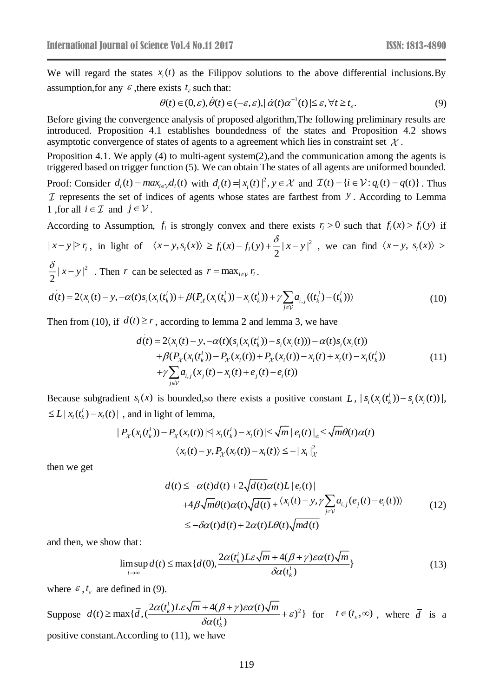We will regard the states  $x_i(t)$  as the Filippov solutions to the above differential inclusions. By assumption, for any  $\epsilon$ , there exists  $t_{\epsilon}$  such that:

$$
\theta(t) \in (0, \varepsilon), \dot{\theta}(t) \in (-\varepsilon, \varepsilon), |\dot{\alpha}(t)\alpha^{-1}(t)| \leq \varepsilon, \forall t \geq t_{\varepsilon}.
$$
\n
$$
(9)
$$

Before giving the convergence analysis of proposed algorithm,The following preliminary results are introduced. Proposition 4.1 establishes boundedness of the states and Proposition 4.2 shows asymptotic convergence of states of agents to a agreement which lies in constraint set  $\mathcal{X}$ .

Proposition 4.1. We apply (4) to multi-agent system(2),and the communication among the agents is triggered based on trigger function (5). We can obtain The states of all agents are uniformed bounded.

Proof: Consider  $d_i(t) = max_{i \in \mathcal{V}} d_i(t)$  with  $d_i(t) = |x_i(t)|^2$ ,  $y \in \mathcal{X}$  and  $\mathcal{I}(t) = \{i \in \mathcal{V} : q_i(t) = q(t)\}\$ . Thus represents the set of indices of agents whose states are farthest from *y* . According to Lemma 1 , for all  $i \in \mathcal{I}$  and  $j \in \mathcal{V}$ .

According to Assumption,  $f_i$  is strongly convex and there exists  $r_i > 0$  such that  $f_i(x) > f_i(y)$  if

$$
|x-y| \ge r_i, \text{ in light of } \langle x-y, s_i(x) \rangle \ge f_i(x) - f_i(y) + \frac{\delta}{2} |x-y|^2, \text{ we can find } \langle x-y, s_i(x) \rangle >
$$

$$
\frac{\delta}{2} |x - y|^2
$$
. Then  $r$  can be selected as  $r = \max_{i \in \mathcal{V}} r_i$ .  
\n
$$
d(t) = 2\langle x_i(t) - y, -\alpha(t)s_i(x_i(t_k^i)) + \beta(P_{\chi}(x_i(t_k^i)) - x_i(t_k^i)) + \gamma \sum_{j \in \mathcal{V}} a_{i,j}((t_k^j) - (t_k^i)) \rangle
$$
\n(10)

Then from (10), if  $d(t) \ge r$ , according to lemma 2 and lemma 3, we have

$$
d(t) = 2\langle x_i(t) - y, -\alpha(t)(s_i(x_i(t_k)) - s_i(x_i(t))) - \alpha(t)s_i(x_i(t))
$$
  
+  $\beta(P_{\chi}(x_i(t_k)) - P_{\chi}(x_i(t)) + P_{\chi}(x_i(t)) - x_i(t) + x_i(t) - x_i(t_k))$   
+  $\gamma \sum_{j \in \mathcal{V}} a_{i,j}(x_j(t) - x_i(t) + e_j(t) - e_i(t))$  (11)

Because subgradient  $s_i(x)$  is bounded, so there exists a positive constant L,  $|s_i(x_i(t_k)) - s_i(x_i(t))|$ ,  $\leq L |x_i(t_k^i) - x_i(t)|$ , and in light of lemma,

$$
|P_{\chi}(x_i(t_k^i)) - P_{\chi}(x_i(t))| \le |x_i(t_k^i) - x_i(t)| \le \sqrt{m} |e_i(t)|_{\infty} \le \sqrt{m}\theta(t)\alpha(t)
$$
  

$$
\langle x_i(t) - y, P_{\chi}(x_i(t)) - x_i(t) \rangle \le -|x_i|_{\chi}^2
$$

then we get

$$
d(t) \leq -\alpha(t)d(t) + 2\sqrt{d(t)}\alpha(t)L |e_i(t)|
$$
  
+4 $\beta\sqrt{m}\theta(t)\alpha(t)\sqrt{d(t)} + \langle x_i(t) - y, \gamma \sum_{j \in \mathcal{V}} a_{i,j}(e_j(t) - e_i(t)) \rangle$   

$$
\leq -\delta\alpha(t)d(t) + 2\alpha(t)L\theta(t)\sqrt{md(t)}
$$
 (12)

and then, we show that:

$$
\limsup_{t \to \infty} d(t) \le \max \{ d(0), \frac{2\alpha(t_k^i)L\varepsilon \sqrt{m} + 4(\beta + \gamma)\varepsilon \alpha(t)\sqrt{m}}{\delta \alpha(t_k^i)} \}
$$
(13)

where  $\varepsilon$ ,  $t_{\varepsilon}$  are defined in (9).

Suppose  $d(t) \ge \max{\{\overline{d}, \left( \frac{2\alpha(t_k')L\varepsilon\sqrt{m} + 4(\beta + \gamma)\varepsilon\alpha(t)\sqrt{m}}{\sigma(\overline{d})}\right)^2\} }$  $(t_{\scriptscriptstyle k}^{\scriptscriptstyle l})$  $\frac{\alpha(t'_{k})L\varepsilon\sqrt{m+4(\beta+\gamma)\varepsilon\alpha(t)}\sqrt{m}}{\delta\alpha(t'_{i})}+\varepsilon$  $\geq$  max $\{\bar{d}\cdot\left(\frac{2\alpha(t_k)L\varepsilon\sqrt{m+4(\beta+\gamma)\varepsilon\alpha(t)\sqrt{m}}}{2}\right)^{2}$ *i k i k*  $d(t) \ge \max{\lbrace \overline{d}, \frac{2\alpha(t_k^t) L \varepsilon \sqrt{m} + 4(\beta + \gamma) \varepsilon \alpha(t) \sqrt{m} \rbrace}$  $t^i(t)$   $(t, \infty)$  +  $\epsilon$ <sup>2</sup> for  $t \in (t_{\epsilon}, \infty)$ , where  $\overline{d}$  is a positive constant.According to (11), we have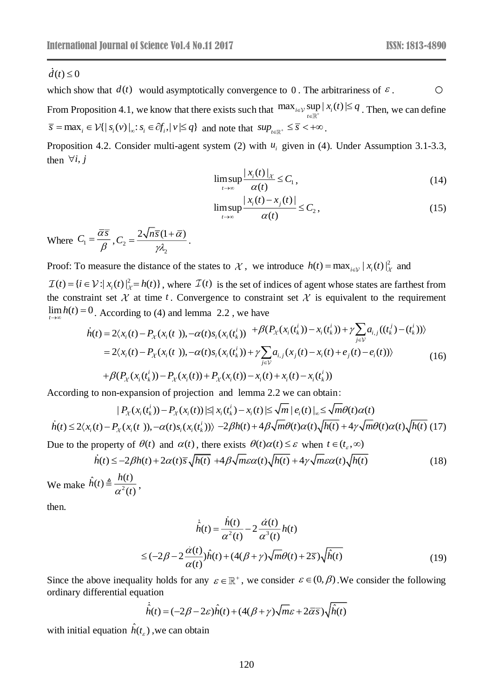$\circ$ which show that  $d(t)$  would asymptotically convergence to 0. The arbitrariness of  $\epsilon$ .

From Proposition 4.1, we know that there exists such that  $\max_{i\in\mathcal{V}} \sup_{t\in\mathbb{R}^+} |x_i(t)| \leq q$ . Then, we can define  $\overline{s} = \max_i \in \mathcal{V}\{|s_i(v)|_{\infty}: s_i \in \partial f_i, |v| \leq q\}$  and note that  $sup_{t \in \mathbb{R}^+} \leq \overline{s} < +\infty$ .

Proposition 4.2. Consider multi-agent system (2) with  $u_i$  given in (4). Under Assumption 3.1-3.3, then  $\forall i, j$ 

$$
\limsup_{t \to \infty} \frac{|x_i(t)|_{\mathcal{X}}}{\alpha(t)} \le C_1,\tag{14}
$$

$$
\limsup_{t \to \infty} \frac{|x_i(t) - x_j(t)|}{\alpha(t)} \le C_2, \tag{15}
$$

Where  $C_1$  $\alpha$  $=$   $\frac{}{ \beta}$  $C_1 = \frac{\alpha s}{\beta}$ ,  $C_2$ 2  $2\sqrt{n}\bar{s}(1+\bar{\alpha})$  $\mathcal{V}\lambda_2$  $C_2 = \frac{2\sqrt{n\bar{s}(1+\bar{\alpha})}}{n}$ .

Proof: To measure the distance of the states to  $\mathcal{X}$ , we introduce  $h(t) = \max_{i \in \mathcal{V}} |x_i(t)|^2_{\mathcal{X}}$  and

 $(t) = {i \in V : |x_i(t)|^2 \neq h(t)}$ , where  $\mathcal{I}(t)$  is the set of indices of agent whose states are farthest from the constraint set  $\mathcal X$  at time  $t$ . Convergence to constraint set  $\mathcal X$  is equivalent to the requirement →∞ *t*

d(t) ≤ 0  
\nwhich show that d(t) would asymptotically convergence to 0. The arbitrariness of δ.  
\nFrom Proposition 4.1, we know that there exists such that 
$$
\max_{i \in \mathcal{V}} \sup_{x \in \mathcal{K}} |x_i(t)| \leq q
$$
. Then, we can define  $\overline{s} = \max_i \in \mathcal{V}\{ |s_i(v)|_c; s_i \in \partial_{i+1} \cup \mathcal{K} q \}$  and note that  $\sup_{t \in \mathcal{K} \cup \mathcal{K} \cup \mathcal{K} \cup \mathcal{K} \cup \mathcal{K} \cup \mathcal{K} \cup \mathcal{K} \cup \mathcal{K} \cup \mathcal{K} \cup \mathcal{K} \cup \mathcal{K} \cup \mathcal{K} \cup \mathcal{K} \cup \mathcal{K} \cup \mathcal{K} \cup \mathcal{K} \cup \mathcal{K} \cup \mathcal{K} \cup \mathcal{K} \cup \mathcal{K} \cup \mathcal{K} \cup \mathcal{K} \cup \mathcal{K} \cup \mathcal{K} \cup \mathcal{K} \cup \mathcal{K} \cup \mathcal{K} \cup \mathcal{K} \cup \mathcal{K} \cup \mathcal{K} \cup \mathcal{K} \cup \mathcal{K} \cup \mathcal{K} \cup \mathcal{K} \cup \mathcal{K} \cup \mathcal{K} \cup \mathcal{K} \cup \mathcal{K} \cup \mathcal{K} \cup \mathcal{K} \cup \mathcal{K} \cup \mathcal{K} \cup \mathcal{K} \cup \mathcal{K} \cup \mathcal{K} \cup \mathcal{K} \cup \mathcal{K} \cup \mathcal{K} \cup \mathcal{K} \cup \mathcal{K} \cup \mathcal{K} \cup \mathcal{K} \cup \mathcal{K} \cup \mathcal{K} \cup \mathcal{K} \cup \mathcal{K} \cup \mathcal{K} \cup \mathcal{K} \cup \mathcal{K} \cup \mathcal{K} \cup \mathcal{K} \cup \mathcal{K} \cup \mathcal{K} \cup \mathcal{K} \cup \mathcal{K} \cup \mathcal{K} \cup \mathcal{K} \cup \mathcal{K} \cup \mathcal{K} \cup \mathcal{K} \cup \mathcal{K} \cup \mathcal{K} \cup \mathcal{K} \cup \mathcal{K} \cup \mathcal{K} \cup \mathcal{K} \cup \$ 

According to non-expansion of projection and lemma 2.2 we can obtain:

$$
|P_{\chi}(x_i(t_k^i)) - P_{\chi}(x_i(t))| \leq |x_i(t_k^i) - x_i(t)| \leq \sqrt{m} |e_i(t)|_{\infty} \leq \sqrt{m}\theta(t)\alpha(t)
$$
  

$$
h(t) \leq 2\langle x_i(t) - P_{\chi}(x_i(t^-))\rangle - \alpha(t)s_i(x_i(t_k^i))\rangle - 2\beta h(t) + 4\beta\sqrt{m}\theta(t)\alpha(t)\sqrt{h(t)} + 4\gamma\sqrt{m}\theta(t)\alpha(t)\sqrt{h(t)}
$$
(17)

Due to the property of 
$$
\theta(t)
$$
 and  $\alpha(t)$ , there exists  $\theta(t)\alpha(t) \leq \varepsilon$  when  $t \in (t_{\varepsilon}, \infty)$   
\n
$$
\dot{h}(t) \leq -2\beta h(t) + 2\alpha(t)\overline{s}\sqrt{h(t)} + 4\beta\sqrt{m\varepsilon}\alpha(t)\sqrt{h(t)} + 4\gamma\sqrt{m\varepsilon}\alpha(t)\sqrt{h(t)}
$$
\n(18)

We make  $h(t) = \frac{1}{\sqrt{2}}$  $\hat{h}(t) \triangleq \frac{h(t)}{2}$  $\alpha^2(t)$  $\hat{h}(t) \triangleq \frac{h(t)}{h(t)}$  $\frac{y}{t}$ ,

then.

$$
\dot{\hat{h}}(t) = \frac{h(t)}{\alpha^2(t)} - 2\frac{\dot{\alpha}(t)}{\alpha^3(t)}h(t)
$$
  

$$
\leq (-2\beta - 2\frac{\dot{\alpha}(t)}{\alpha(t)})\hat{h}(t) + (4(\beta + \gamma)\sqrt{m}\theta(t) + 2\overline{s})\sqrt{\hat{h}(t)}
$$
(19)

Since the above inequality holds for any  $\varepsilon \in \mathbb{R}^+$ , we consider  $\varepsilon \in (0, \beta)$ . We consider the following ordinary differential equation

$$
\dot{\hat{h}}(t) = (-2\beta - 2\varepsilon)\hat{h}(t) + (4(\beta + \gamma)\sqrt{m\varepsilon} + 2\overline{\alpha}\overline{s})\sqrt{\hat{h}(t)}
$$

with initial equation  $\hat{h}(t_{\varepsilon})$ , we can obtain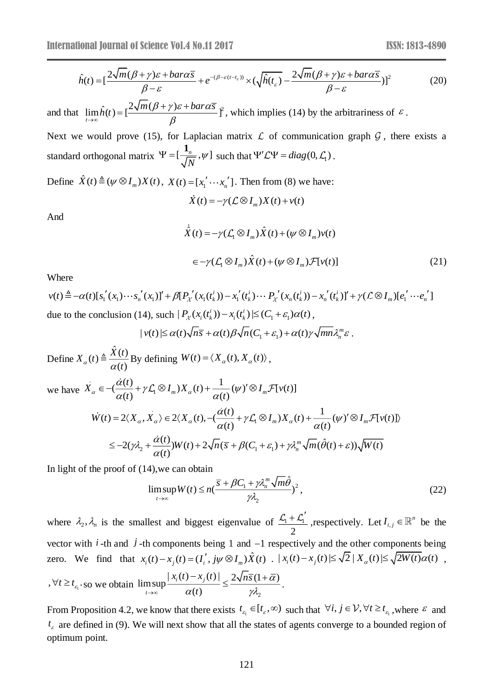ional Journal of Science Vol.4 No.11 2017  
\n
$$
\hat{h}(t) = \left[\frac{2\sqrt{m}(\beta + \gamma)\varepsilon + bar\alpha\overline{s}}{\beta - \varepsilon} + e^{-(\beta - \varepsilon(t - t_{\varepsilon}))} \times (\sqrt{\hat{h}(t_{\varepsilon})} - \frac{2\sqrt{m}(\beta + \gamma)\varepsilon + bar\alpha\overline{s}}{\beta - \varepsilon})\right]^2
$$
\n(20)

and that  $\lim \hat{h}(t) = \left[\frac{2\sqrt{m(\beta + \gamma)\varepsilon + b a r a s}}{2}\right]^{2}$  $\rightarrow \infty$   $\beta$  $\lim_{t\to\infty} \hat{h}(t) = \left[\frac{2\sqrt{m(\beta+\gamma)\varepsilon} + bar\alpha s}{\beta}\right]^2$ , which implies (14) by the arbitrariness of  $\varepsilon$ .

Next we would prove (15), for Laplacian matrix  $\mathcal L$  of communication graph  $\mathcal G$ , there exists a standard orthogonal matrix  $\Psi = [\frac{n}{\sqrt{M}}, \psi]$ *N* **1** such that  $\Psi'\mathcal{L}\Psi = diag(0, \mathcal{L}_1)$ .

Define  $\hat{X}(t) \triangleq (\psi \otimes I_m)X(t), X(t) = [x_1' \cdots x_n']$ . Then from (8) we have:

$$
\dot{X}(t) = -\gamma (\mathcal{L} \otimes I_m) X(t) + v(t)
$$

And

$$
\dot{\hat{X}}(t) = -\gamma (\mathcal{L}_1 \otimes I_m) \hat{X}(t) + (\psi \otimes I_m) v(t)
$$
\n
$$
\in -\gamma (\mathcal{L}_1 \otimes I_m) \hat{X}(t) + (\psi \otimes I_m) \mathcal{F}[v(t)] \tag{21}
$$

Where

$$
v(t) \triangleq -\alpha(t)[s_1'(x_1)\cdots s_n'(x_1)]' + \beta[P_{\chi}(x_1(t_k^i)) - x_1'(t_k^i)\cdots P_{\chi}(x_n(t_k^i)) - x_n'(t_k^i)]' + \gamma(\mathcal{L}\otimes I_m)[e_1'\cdots e_n']
$$
  
due to the conclusion (14), such  $|P_{\chi}(x_i(t_k^i)) - x_i(t_k^i)| \leq (C_1 + \varepsilon_1)\alpha(t)$ ,

$$
|v(t)| \leq \alpha(t)\sqrt{n\overline{s}} + \alpha(t)\beta\sqrt{n}(C_1 + \varepsilon_1) + \alpha(t)\gamma\sqrt{mn}\lambda_n^m\varepsilon.
$$

 $\hat{f}_1(t) = \frac{1}{2} \frac{\sqrt{m(p + \gamma) \epsilon + \text{bar} \alpha s}}{\beta - \epsilon} + \frac{e^{-(\beta - \epsilon(\tau - \epsilon))} \times 1}{\beta}$ <br>  $\lim_{t \to \infty} \hat{h}(t) = \frac{2 \sqrt{m(\beta + \gamma) \epsilon + \text{bar} \alpha s}}{\beta} \hat{f}$ , which<br>  $\Rightarrow$  would prove (15), for Laplacian matrix<br>
orthogonal matrix  $\Psi = [\frac{1}{\sqrt{N}}, \psi]$  Define  $(t) \triangleq \frac{\hat{X}(t)}{t}$  $X_{\alpha}(t) \triangleq \frac{X(t)}{\alpha(t)}$ *t* By defining  $W(t) = \langle X_{\alpha}(t), X_{\alpha}(t) \rangle$ , we have  $\overrightarrow{X}$  $\left(\frac{\dot{\alpha}(t)}{\dot{\alpha}}+\gamma\mathcal{L}_1\otimes I_m\right)X_{\alpha}(t)+\frac{1}{\dot{\alpha}}(\psi)\dot{\otimes}I_m\mathcal{F}[\nu(t)]$  $\alpha(t)$  (*a* )  $\alpha(t)$  (*a* ) (*a* ) (*a*(*t*)  $\frac{\alpha(t)}{\alpha(t)} + \gamma \mathcal{L}_1 \otimes I_m) X_\alpha(t) + \frac{1}{\alpha(t)} (\psi$  $\epsilon = -\frac{(\omega \cdot \omega)}{\omega} + \gamma \mathcal{L}_1 \otimes I_m X_\alpha(t) + \frac{1}{\omega \cdot \omega} (\psi)' \otimes I_m$  $X_{\infty} \in -(\frac{\alpha(t)}{t} + \gamma \mathcal{L}_{\infty} \otimes I_{\infty})X_{\infty}(t) + \frac{1}{t} (\psi')' \otimes I_{\infty} \mathcal{F}[\psi(t)]$ *t*  $\alpha(t)$  $\mathcal{L}(t) = 2\langle X_{\alpha}, X_{\alpha}\rangle \in 2\langle X_{\alpha}(t), -(\frac{\dot{\alpha}(t)}{\langle \alpha \rangle} + \gamma \mathcal{L}_{1} \otimes I_{m}) X_{\alpha}(t) + \frac{1}{\langle \alpha \rangle}(\psi')' \otimes I_{m} \mathcal{F}[\psi(t)]$  $\alpha$ ,  $\alpha$ ,  $\alpha$ ,  $\alpha$  (*t*)  $\alpha$  (*t*)  $\alpha$  (*t*)  $\alpha$  (*t*)  $\dot{W}(t) = 2\langle X_{\alpha}, X_{\alpha}\rangle \in 2\langle X_{\alpha}(t), -(\frac{\alpha(t)}{\alpha(t)} + \gamma \mathcal{L}_1 \otimes I_{\alpha}) X_{\alpha}(t) + \frac{1}{\alpha(t)}(\psi)' \otimes I_{\alpha} \mathcal{F}[v(t)]\rangle$ *t* t  $\alpha(t$ 2 1  $(0, 1)$  1  $2 \sqrt{100}$  1  $\sqrt{201}$  1  $\sigma_1$  $(2(\gamma \lambda_1 + \frac{\dot{\alpha}(t)}{\sigma}))W(t) + 2\sqrt{n}(\overline{s} + \beta(C_1 + \varepsilon_1) + \gamma \lambda_n^m \sqrt{m}(\hat{\theta}(t) + \varepsilon))\sqrt{W(t)}$  $(t)$  $(\gamma \lambda_2 + \frac{\alpha(t)}{\alpha(t)})W(t) + 2\sqrt{n}(\overline{s} + \beta(C_1 + \varepsilon_1) + \gamma \lambda_n^m \sqrt{m}(\hat{\theta}(t) + \varepsilon_1))$  $\leq$   $-2(\gamma \lambda_2 + \frac{\alpha(t)}{\alpha})W(t) + 2\sqrt{n}(\bar{s} + \beta(C_1 + \varepsilon_1) + \gamma \lambda_n^m \sqrt{m}(\hat{\theta}(t) + \varepsilon))\sqrt{W(t)}$ *t*

In light of the proof of (14),we can obtain

$$
\limsup_{t \to \infty} W(t) \le n \left( \frac{\overline{s} + \beta C_1 + \gamma \lambda_n^m \sqrt{m \hat{\theta}}}{\gamma \lambda_2} \right)^2, \tag{22}
$$

where  $\lambda_2$ ,  $\lambda_n$  is the smallest and biggest eigenvalue of  $\frac{\lambda_1 + \lambda_2}{\lambda_2 + \lambda_3}$ 2  $+\mathcal{L}'_1$ , respectively. Let  $I_{i,j} \in \mathbb{R}^n$  be the vector with  $i$ -th and  $j$ -th components being 1 and  $-1$  respectively and the other components being vector with *i*-th and *j*-th components being 1 and -1 respectively and the other components being<br>zero. We find that  $x_i(t) - x_j(t) = (I'_i, j\psi \otimes I_m) \hat{X}(t)$ .  $|x_i(t) - x_j(t)| \le \sqrt{2}|X_{\alpha}(t)| \le \sqrt{2W(t)}\alpha(t)$ ,  $, \forall t \geq t_{\epsilon_1}$  so we obtain 2  $\limsup \frac{|x_i(t) - x_j(t)|}{\leq 2\sqrt{n} \overline{s}(1+\overline{\alpha})}$  $\limsup_{t\to\infty} \frac{1}{\alpha(t)}$ i (  $\alpha$  $\rightarrow \infty$   $\alpha(t)$   $\gamma \lambda$ ,  $\frac{1}{i}(l) - x_j(l)$   $\leq \frac{2\sqrt{n}s(l+1)}{s}$ *t*  $x_i(t) - x_i(t)$   $2\sqrt{n\overline{s}}$  $\frac{f(x)}{f} \leq \frac{2 \sqrt{n} s (1 + \alpha)}{\gamma \lambda}.$ 

From Proposition 4.2, we know that there exists  $t_{\epsilon_1} \in [t_{\epsilon}, \infty)$  such that  $\forall i, j \in \mathcal{V}, \forall t \ge t_{\epsilon_1}$ , where  $\epsilon$  and  $t_{\varepsilon}$  are defined in (9). We will next show that all the states of agents converge to a bounded region of optimum point.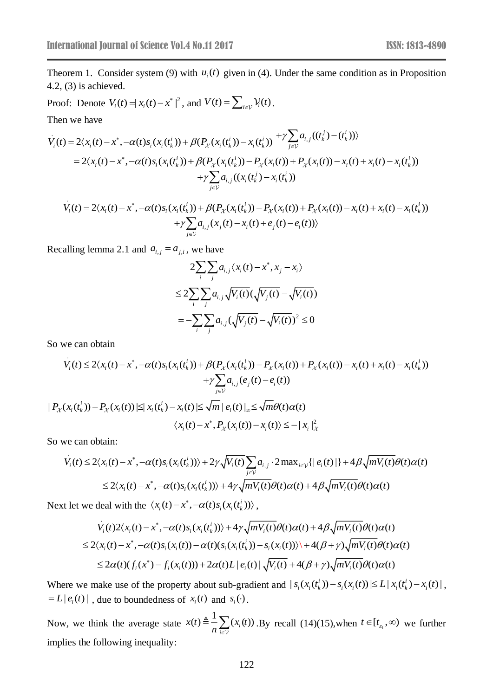Theorem 1. Consider system (9) with  $u_i(t)$  given in (4). Under the same condition as in Proposition 4.2, (3) is achieved.

Proof: Denote  $V_i(t) = |x_i(t) - x^*|^2$ , and  $V(t) = \sum_{i \in \mathcal{V}} V_i(t)$ . Then we have

$$
\dot{V}_i(t) = 2\langle x_i(t) - x^*, -\alpha(t)s_i(x_i(t_k^i)) + \beta(P_{\chi}(x_i(t_k^i)) - x_i(t_k^i)) + \gamma \sum_{j \in \mathcal{V}} a_{i,j}((t_k^j) - (t_k^i)) \rangle
$$
\n
$$
= 2\langle x_i(t) - x^*, -\alpha(t)s_i(x_i(t_k^i)) + \beta(P_{\chi}(x_i(t_k^i)) - P_{\chi}(x_i(t)) + P_{\chi}(x_i(t)) - x_i(t) + x_i(t) - x_i(t_k^i))
$$
\n
$$
+ \gamma \sum_{j \in \mathcal{V}} a_{i,j}((x_i(t_k^i) - x_i(t_k^i))
$$
\n
$$
\dot{V}_i(t) = 2\langle x_i(t) - x^*, -\alpha(t)s_i(x_i(t_k^i)) + \beta(P_{\chi}(x_i(t_k^i)) - P_{\chi}(x_i(t)) + P_{\chi}(x_i(t)) - x_i(t) + x_i(t) - x_i(t_k^i)) \rangle
$$
\n
$$
+ \gamma \sum_{j \in \mathcal{V}} a_{i,j}((x_i(t_k^i) - x_i(t_k^i)) + P_{\chi}(x_i(t)) - x_i(t) + x_i(t) - x_i(t_k^i))
$$

$$
\dot{V}_i(t) = 2\langle x_i(t) - x^*, -\alpha(t)s_i(x_i(t_k^i)) + \beta(P_{\chi}(x_i(t_k^i)) - P_{\chi}(x_i(t)) + P_{\chi}(x_i(t)) - x_i(t) + x_i(t) - x_i(t_k^i) \rangle \n+ \gamma \sum_{j \in \mathcal{V}} a_{i,j}(x_j(t) - x_i(t) + e_j(t) - e_i(t))\rangle
$$

Recalling lemma 2.1 and  $a_{i,j} = a_{j,i}$ , we have

$$
2\sum_{i}\sum_{j}a_{i,j}\langle x_i(t) - x^*, x_j - x_i \rangle
$$
  
\n
$$
\leq 2\sum_{i}\sum_{j}a_{i,j}\sqrt{V_i(t)}(\sqrt{V_j(t)} - \sqrt{V_i(t)})
$$
  
\n
$$
= -\sum_{i}\sum_{j}a_{i,j}(\sqrt{V_j(t)} - \sqrt{V_i(t)})^2 \leq 0
$$

So we can obtain

$$
V_i(t) \le 2\langle x_i(t) - x^*, -\alpha(t)s_i(x_i(t_k^i)) + \beta(P_{\chi}(x_i(t_k^i)) - P_{\chi}(x_i(t)) + P_{\chi}(x_i(t)) - x_i(t) + x_i(t) - x_i(t_k^i))
$$
  
+ 
$$
\gamma \sum_{j \in \mathcal{V}} a_{i,j}(e_j(t) - e_i(t))
$$
  
+ 
$$
|P_{\chi}(x_i(t_k^i)) - P_{\chi}(x_i(t))| \le |x_i(t_k^i) - x_i(t)| \le \sqrt{m} |e_i(t)|_{\infty} \le \sqrt{m}\theta(t)\alpha(t)
$$
  

$$
\langle x_i(t) - x^*, P_{\chi}(x_i(t)) - x_i(t) \rangle \le -|x_i|^2
$$

So we can obtain:

$$
V_i(t) \le 2\langle x_i(t) - x^*, -\alpha(t)s_i(x_i(t_k^i))\rangle + 2\gamma \sqrt{V_i(t)} \sum_{j \in \mathcal{V}} a_{i,j} \cdot 2 \max_{i \in \mathcal{V}} \{|e_i(t)|\} + 4\beta \sqrt{mV_i(t)} \theta(t)\alpha(t)
$$
  

$$
\le 2\langle x_i(t) - x^*, -\alpha(t)s_i(x_i(t_k^i))\rangle + 4\gamma \sqrt{mV_i(t)} \theta(t)\alpha(t) + 4\beta \sqrt{mV_i(t)} \theta(t)\alpha(t)
$$

Next let we deal with the  $\langle x_i(t) - x^*, -\alpha(t)s_i(x_i(t_k^i)) \rangle$ ,

$$
V_i(t)2\langle x_i(t) - x^*, -\alpha(t)s_i(x_i(t_k^i))\rangle + 4\gamma \sqrt{mV_i(t)}\theta(t)\alpha(t) + 4\beta \sqrt{mV_i(t)}\theta(t)\alpha(t)
$$
  
\n
$$
\leq 2\langle x_i(t) - x^*, -\alpha(t)s_i(x_i(t)) - \alpha(t)(s_i(x_i(t_k^i)) - s_i(x_i(t))\rangle + 4(\beta + \gamma)\sqrt{mV_i(t)}\theta(t)\alpha(t)
$$
  
\n
$$
\leq 2\alpha(t)(f_i(x^*) - f_i(x_i(t))) + 2\alpha(t)L|e_i(t)|\sqrt{V_i(t)} + 4(\beta + \gamma)\sqrt{mV_i(t)}\theta(t)\alpha(t)
$$

Where we make use of the property about sub-gradient and  $|s_i(x_i(t_k)) - s_i(x_i(t))| \le L |x_i(t_k) - x_i(t)|$ ,  $= L |e_i(t)|$ , due to boundedness of  $x_i(t)$  and  $s_i(t)$ .

Now, we think the average state  $(t) \triangleq \frac{1}{t} \sum (x_i(t))$  $\sum_{i\in\mathcal{V}}(x_i$  $x(t) \equiv -\sum x_i(t)$  $\frac{1}{n} \sum_{i \in \mathbb{N}} (x_i(t))$ . By recall (14)(15), when  $t \in [t_{\epsilon_1}, \infty)$  we further implies the following inequality: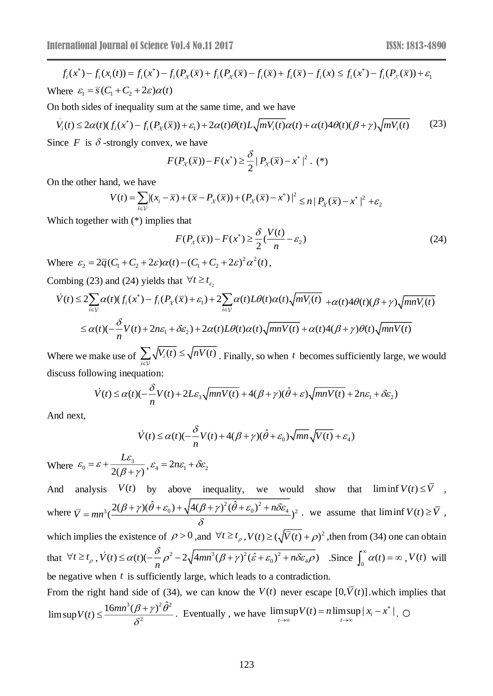$$
f_i(x^*) - f_i(x_i(t)) = f_i(x^*) - f_i(P_{\chi}(\bar{x}) + f_i(P_{\chi}(\bar{x}) - f_i(\bar{x}) + f_i(\bar{x}) - f_i(x)) \le f_i(x^*) - f_i(P_{\chi}(\bar{x})) + \varepsilon
$$
  
Where  $\varepsilon_1 = \bar{s}(C_1 + C_2 + 2\varepsilon)\alpha(t)$ 

On both sides of inequality sum at the same time, and we have

$$
V_i(t) \le 2\alpha(t)(f_i(x^*) - f_i(P_\chi(\overline{x})) + \varepsilon_1) + 2\alpha(t)\theta(t)L\sqrt{mV_i(t)}\alpha(t) + \alpha(t)4\theta(t)(\beta + \gamma)\sqrt{mV_i(t)}\tag{23}
$$

Since  $F$  is  $\delta$ -strongly convex, we have

$$
F(P_{\chi}(\bar{x})) - F(x^*) \ge \frac{\delta}{2} |P_{\chi}(\bar{x}) - x^*|^2. (*)
$$

On the other hand, we have

$$
V(t) = \sum_{i \in V} |(x_i - \overline{x}) + (\overline{x} - P_{\chi}(\overline{x})) + (P_{\chi}(\overline{x}) - x^*)|^2 \le n |P_{\chi}(\overline{x}) - x^*|^2 + \varepsilon_2
$$

Which together with (\*) implies that

$$
F(P_\chi(\overline{x})) - F(x^*) \ge \frac{\delta}{2} \left(\frac{V(t)}{n} - \varepsilon_2\right)
$$
\n(24)

Where  $\varepsilon_2 = 2\overline{q}(C_1 + C_2 + 2\varepsilon)\alpha(t) - (C_1 + C_2 + 2\varepsilon)^2\alpha^2$  $\varepsilon_2 = 2\overline{q}(C_1 + C_2 + 2\varepsilon)\alpha(t) - (C_1 + C_2 + 2\varepsilon)^2\alpha^2(t)$ ,

Combing (23) and (24) yields that  $\forall t \geq t_{\varepsilon_2}$ 

$$
\dot{V}(t) \le 2 \sum_{i \in \mathcal{V}} \alpha(t) (f_i(x^*) - f_i(P_{\chi}(\overline{x}) + \varepsilon_1) + 2 \sum_{i \in \mathcal{V}} \alpha(t) L\theta(t) \alpha(t) \sqrt{mV_i(t)} + \alpha(t) 4\theta(t) (\beta + \gamma) \sqrt{mnV_i(t)}
$$
\n
$$
\le \alpha(t) (-\frac{\delta}{n}V(t) + 2n\varepsilon_1 + \delta\varepsilon_2) + 2\alpha(t) L\theta(t) \alpha(t) \sqrt{mnV(t)} + \alpha(t) 4(\beta + \gamma)\theta(t) \sqrt{mnV(t)}
$$

Where we make use of  $\sum_{i} \sqrt{V_i(t)} \leq \sqrt{nV(t)}$  $\sum_{i\in\mathcal{V}}\sqrt{V_i(t)}\leq$  $V_i(t) \le \sqrt{nV(t)}$ . Finally, so when t becomes sufficiently large, we would discuss following inequation:

$$
\dot{V}(t) \le \alpha(t) \left(-\frac{\delta}{n}V(t) + 2L\varepsilon_3 \sqrt{mnV(t)} + 4(\beta + \gamma)(\hat{\theta} + \varepsilon) \sqrt{mnV(t)} + 2n\varepsilon_1 + \delta \varepsilon_2\right)
$$

And next,

$$
\dot{V}(t) \le \alpha(t) \left(-\frac{\delta}{n}V(t) + 4(\beta + \gamma)(\hat{\theta} + \varepsilon_0)\sqrt{mn}\sqrt{V(t)} + \varepsilon_4\right)
$$

Where  $\varepsilon_0 = \varepsilon + \frac{2\varepsilon_3}{2(\beta + \gamma)}$  $\varepsilon_0 = \varepsilon + \frac{L\varepsilon_3}{2(\beta + \gamma)}$ ┿  $\frac{L\varepsilon_3}{R_1L}$ ,  $\varepsilon_4 = 2n\varepsilon_1 + \delta \varepsilon_2$ 

 $f_1(x) - f_2(x) - f_3(x) - f_3(x) - f_3(x) + f_1(x) - f_3(x) - f_3(x) - f_3(x) - f_3(x) - f_3(x) - f_3(x) - f_3(x) - f_3(x) - f_3(x) - f_3(x) - f_3(x) - f_3(x) - f_3(x) + f_3(x) - f_3(x) + f_3(x) + f_3(x) + f_3(x) + f_3(x) + f_3(x) + f_3(x) + f_3(x) + f_3(x) + f_3(x) + f_3(x) + f_3(x) + f_3(x) + f_3(x) + f_3(x) + f_3(x) + f_3(x$ And analysis  $V(t)$  by above inequality, we would show that liminf  $V(t) \leq V$ , where  $\overline{V} = mn^3(\frac{2(\beta + \gamma)(\theta + \varepsilon_0) + \sqrt{4(\beta + \gamma)^2(\theta + \varepsilon_0)^2}}{2})$  $3/2$   $(1)$   $(0 + 0)$   $(1)$   $(0 + 7)$   $(0 + 0)$   $(1)$   $(0.004)$  $2(\beta+\gamma)(\hat{\theta}+\varepsilon_{0})+\sqrt{4(\beta+\gamma)^{2}(\hat{\theta}+\varepsilon_{0})}$  $\left(\frac{1}{\sqrt{1-\frac{1}{\sqrt{1-\frac{1}{\sqrt{1-\frac{1}{\sqrt{1-\frac{1}{\sqrt{1-\frac{1}{\sqrt{1-\frac{1}{\sqrt{1-\frac{1}{\sqrt{1-\frac{1}{\sqrt{1-\frac{1}{\sqrt{1-\frac{1}{\sqrt{1-\frac{1}{\sqrt{1-\frac{1}{\sqrt{1-\frac{1}{\sqrt{1-\frac{1}{\sqrt{1-\frac{1}{\sqrt{1-\frac{1}{\sqrt{1-\frac{1}{\sqrt{1-\frac{1}{\sqrt{1-\frac{1}{\sqrt{1-\frac{1}{\sqrt{1-\frac{1}{\sqrt{1-\frac{1}{\sqrt{1-\frac{1}{\sqrt{1-\frac$  $(\beta + \gamma)(\theta + \varepsilon_0) + \sqrt{4(\beta + \gamma)^2(\theta + \varepsilon_0)^2 + n\delta\varepsilon}$ δ  $= m n^3 \left( \frac{2(\beta + \gamma)(\theta + \varepsilon_0) + \sqrt{4(\beta + \gamma)^2 (\theta + \varepsilon_0)^2 + 4\beta^2}}{2\beta + \gamma^2}\right)$  $\overline{V} = mn^3 \left( \frac{2(p+p)(b+\varepsilon_0)+\sqrt{4(p+p)}(\varepsilon_0+\varepsilon_0)+n\sigma_{4}}{p^2} \right)^2$ . we assume that liminf  $V(t) \geq \overline{V}$ , which implies the existence of  $\rho > 0$ , and  $\forall t \ge t_\rho$ ,  $V(t) \ge (\sqrt{V(t)} + \rho)^2$ , then from (34) one can obtain that  $\forall t \ge t_{\rho}$ ,  $\dot{V}(t) \le \alpha(t)(-\frac{\delta}{n}\rho^2 - 2\sqrt{4mn^3(\beta + \gamma)^2(\hat{\varepsilon} + \varepsilon_0)^2 + n\delta\varepsilon_4\rho})$ . Since  $\int_0^{\infty} \alpha(t) = \infty$ ,  $V(t)$  will be negative when *t* is sufficiently large, which leads to a contradiction. From the right hand side of (34), we can know the  $V(t)$  never escape  $[0, V(t)]$  which implies that  $\limsup V(t) = n \limsup |x_i - x^*|$ =  $n \limsup |x_i - x^*|$  $V(t) = n \limsup |x_i - x^*|$ .

$$
\limsup V(t) \le \frac{16mn^3(\beta + \gamma)^2 \hat{\theta}^2}{\delta^2}.
$$
 Eventually, we have  $\limsup_{t \to \infty} V(t) = n \limsup_{t \to \infty} |x_i - x^*|$ .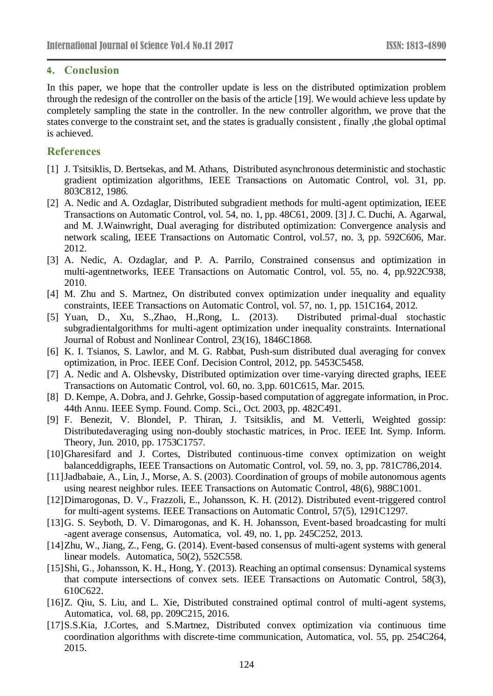## **4. Conclusion**

In this paper, we hope that the controller update is less on the distributed optimization problem through the redesign of the controller on the basis of the article [19]. We would achieve less update by completely sampling the state in the controller. In the new controller algorithm, we prove that the states converge to the constraint set, and the states is gradually consistent , finally ,the global optimal is achieved.

# **References**

- [1] J. Tsitsiklis, D. Bertsekas, and M. Athans, Distributed asynchronous deterministic and stochastic gradient optimization algorithms, IEEE Transactions on Automatic Control, vol. 31, pp. 803C812, 1986.
- [2] A. Nedic and A. Ozdaglar, Distributed subgradient methods for multi-agent optimization, IEEE Transactions on Automatic Control, vol. 54, no. 1, pp. 48C61, 2009. [3] J. C. Duchi, A. Agarwal, and M. J.Wainwright, Dual averaging for distributed optimization: Convergence analysis and network scaling, IEEE Transactions on Automatic Control, vol.57, no. 3, pp. 592C606, Mar. 2012.
- [3] A. Nedic, A. Ozdaglar, and P. A. Parrilo, Constrained consensus and optimization in multi-agentnetworks, IEEE Transactions on Automatic Control, vol. 55, no. 4, pp.922C938, 2010.
- [4] M. Zhu and S. Martnez, On distributed convex optimization under inequality and equality constraints, IEEE Transactions on Automatic Control, vol. 57, no. 1, pp. 151C164, 2012.
- [5] Yuan, D., Xu, S.,Zhao, H.,Rong, L. (2013). Distributed primal-dual stochastic subgradientalgorithms for multi-agent optimization under inequality constraints. International Journal of Robust and Nonlinear Control, 23(16), 1846C1868.
- [6] K. I. Tsianos, S. Lawlor, and M. G. Rabbat, Push-sum distributed dual averaging for convex optimization, in Proc. IEEE Conf. Decision Control, 2012, pp. 5453C5458.
- [7] A. Nedic and A. Olshevsky, Distributed optimization over time-varying directed graphs, IEEE Transactions on Automatic Control, vol. 60, no. 3,pp. 601C615, Mar. 2015.
- [8] D. Kempe, A. Dobra, and J. Gehrke, Gossip-based computation of aggregate information, in Proc. 44th Annu. IEEE Symp. Found. Comp. Sci., Oct. 2003, pp. 482C491.
- [9] F. Benezit, V. Blondel, P. Thiran, J. Tsitsiklis, and M. Vetterli, Weighted gossip: Distributedaveraging using non-doubly stochastic matrices, in Proc. IEEE Int. Symp. Inform. Theory, Jun. 2010, pp. 1753C1757.
- [10]Gharesifard and J. Cortes, Distributed continuous-time convex optimization on weight balanceddigraphs, IEEE Transactions on Automatic Control, vol. 59, no. 3, pp. 781C786,2014.
- [11]Jadbabaie, A., Lin, J., Morse, A. S. (2003). Coordination of groups of mobile autonomous agents using nearest neighbor rules. IEEE Transactions on Automatic Control, 48(6), 988C1001.
- [12]Dimarogonas, D. V., Frazzoli, E., Johansson, K. H. (2012). Distributed event-triggered control for multi-agent systems. IEEE Transactions on Automatic Control, 57(5), 1291C1297.
- [13]G. S. Seyboth, D. V. Dimarogonas, and K. H. Johansson, Event-based broadcasting for multi -agent average consensus, Automatica, vol. 49, no. 1, pp. 245C252, 2013.
- [14]Zhu, W., Jiang, Z., Feng, G. (2014). Event-based consensus of multi-agent systems with general linear models. Automatica, 50(2), 552C558.
- [15]Shi, G., Johansson, K. H., Hong, Y. (2013). Reaching an optimal consensus: Dynamical systems that compute intersections of convex sets. IEEE Transactions on Automatic Control, 58(3), 610C622.
- [16]Z. Qiu, S. Liu, and L. Xie, Distributed constrained optimal control of multi-agent systems, Automatica, vol. 68, pp. 209C215, 2016.
- [17]S.S.Kia, J.Cortes, and S.Martnez, Distributed convex optimization via continuous time coordination algorithms with discrete-time communication, Automatica, vol. 55, pp. 254C264, 2015.